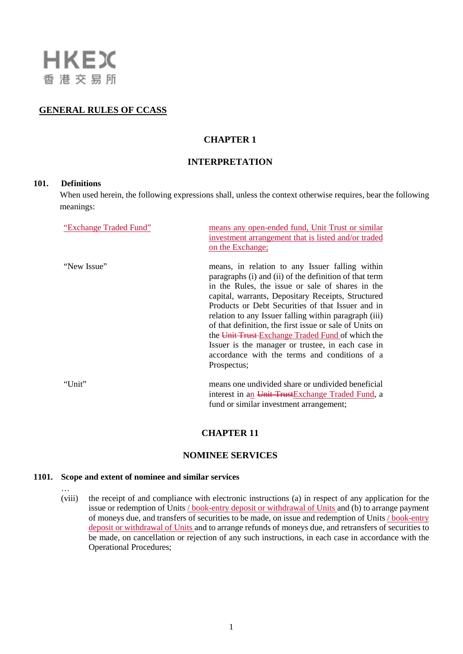

## **GENERAL RULES OF CCASS**

# **CHAPTER 1**

# **INTERPRETATION**

### **101. Definitions**

…

When used herein, the following expressions shall, unless the context otherwise requires, bear the following meanings:

| "Exchange Traded Fund" | means any open-ended fund, Unit Trust or similar<br>investment arrangement that is listed and/or traded<br>on the Exchange;                                                                                                                                                                                                                                                                                                                                                                                                                                           |
|------------------------|-----------------------------------------------------------------------------------------------------------------------------------------------------------------------------------------------------------------------------------------------------------------------------------------------------------------------------------------------------------------------------------------------------------------------------------------------------------------------------------------------------------------------------------------------------------------------|
| "New Issue"            | means, in relation to any Issuer falling within<br>paragraphs (i) and (ii) of the definition of that term<br>in the Rules, the issue or sale of shares in the<br>capital, warrants, Depositary Receipts, Structured<br>Products or Debt Securities of that Issuer and in<br>relation to any Issuer falling within paragraph (iii)<br>of that definition, the first issue or sale of Units on<br>the Unit Trust-Exchange Traded Fund of which the<br>Issuer is the manager or trustee, in each case in<br>accordance with the terms and conditions of a<br>Prospectus; |
| "Unit"                 | means one undivided share or undivided beneficial<br>interest in an Unit TrustExchange Traded Fund, a<br>fund or similar investment arrangement;                                                                                                                                                                                                                                                                                                                                                                                                                      |

### **CHAPTER 11**

### **NOMINEE SERVICES**

#### **1101. Scope and extent of nominee and similar services**

(viii) the receipt of and compliance with electronic instructions (a) in respect of any application for the issue or redemption of Units / book-entry deposit or withdrawal of Units and (b) to arrange payment of moneys due, and transfers of securities to be made, on issue and redemption of Units / book-entry deposit or withdrawal of Units and to arrange refunds of moneys due, and retransfers of securities to be made, on cancellation or rejection of any such instructions, in each case in accordance with the Operational Procedures;